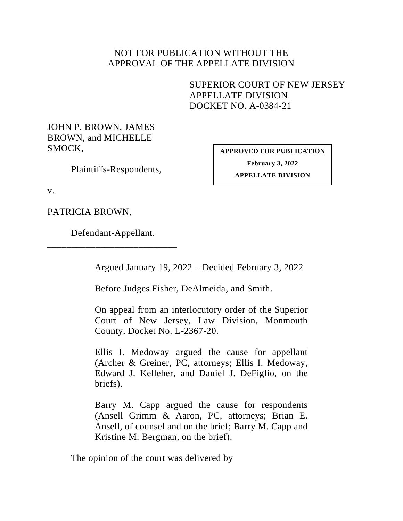## NOT FOR PUBLICATION WITHOUT THE APPROVAL OF THE APPELLATE DIVISION

SUPERIOR COURT OF NEW JERSEY APPELLATE DIVISION DOCKET NO. A-0384-21

JOHN P. BROWN, JAMES BROWN, and MICHELLE SMOCK,

Plaintiffs-Respondents,

<span id="page-0-0"></span>**APPROVED FOR PUBLICATION February 3, 2022 APPELLATE DIVISION**

v.

PATRICIA BROWN,

Defendant-Appellant. \_\_\_\_\_\_\_\_\_\_\_\_\_\_\_\_\_\_\_\_\_\_\_\_\_\_\_

Argued January 19, 2022 – Decided February 3, 2022

Before Judges Fisher, DeAlmeida, and Smith.

On appeal from an interlocutory order of the Superior Court of New Jersey, Law Division, Monmouth County, Docket No. L-2367-20.

Ellis I. Medoway argued the cause for appellant (Archer & Greiner, PC, attorneys; Ellis I. Medoway, Edward J. Kelleher, and Daniel J. DeFiglio, on the briefs).

Barry M. Capp argued the cause for respondents (Ansell Grimm & Aaron, PC, attorneys; Brian E. Ansell, of counsel and on the brief; Barry M. Capp and Kristine M. Bergman, on the brief).

The opinion of the court was delivered by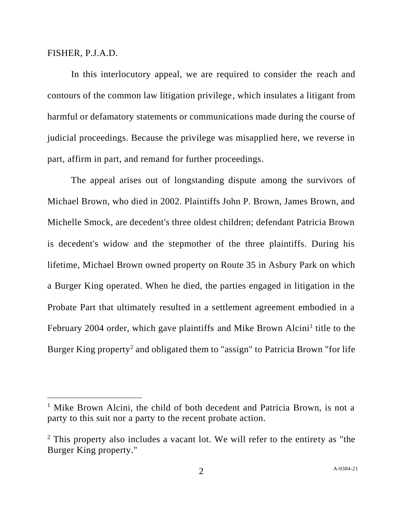## FISHER, P.J.A.D.

In this interlocutory appeal, we are required to consider the reach and contours of the common law litigation privilege, which insulates a litigant from harmful or defamatory statements or communications made during the course of judicial proceedings. Because the privilege was misapplied here, we reverse in part, affirm in part, and remand for further proceedings.

The appeal arises out of longstanding dispute among the survivors of Michael Brown, who died in 2002. Plaintiffs John P. Brown, James Brown, and Michelle Smock, are decedent's three oldest children; defendant Patricia Brown is decedent's widow and the stepmother of the three plaintiffs. During his lifetime, Michael Brown owned property on Route 35 in Asbury Park on which a Burger King operated. When he died, the parties engaged in litigation in the Probate Part that ultimately resulted in a settlement agreement embodied in a February 2004 order, which gave plaintiffs and Mike Brown Alcini<sup>1</sup> title to the Burger King property<sup>2</sup> and obligated them to "assign" to Patricia Brown "for life

<sup>&</sup>lt;sup>1</sup> Mike Brown Alcini, the child of both decedent and Patricia Brown, is not a party to this suit nor a party to the recent probate action.

<sup>&</sup>lt;sup>2</sup> This property also includes a vacant lot. We will refer to the entirety as "the Burger King property."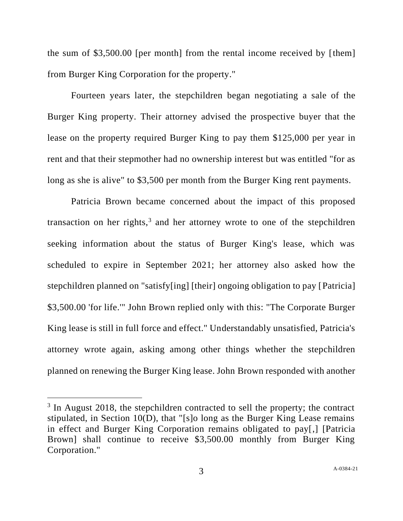the sum of \$3,500.00 [per month] from the rental income received by [them] from Burger King Corporation for the property."

Fourteen years later, the stepchildren began negotiating a sale of the Burger King property. Their attorney advised the prospective buyer that the lease on the property required Burger King to pay them \$125,000 per year in rent and that their stepmother had no ownership interest but was entitled "for as long as she is alive" to \$3,500 per month from the Burger King rent payments.

Patricia Brown became concerned about the impact of this proposed transaction on her rights,<sup>3</sup> and her attorney wrote to one of the stepchildren seeking information about the status of Burger King's lease, which was scheduled to expire in September 2021; her attorney also asked how the stepchildren planned on "satisfy[ing] [their] ongoing obligation to pay [Patricia] \$3,500.00 'for life.'" John Brown replied only with this: "The Corporate Burger King lease is still in full force and effect." Understandably unsatisfied, Patricia's attorney wrote again, asking among other things whether the stepchildren planned on renewing the Burger King lease. John Brown responded with another

<sup>&</sup>lt;sup>3</sup> In August 2018, the stepchildren contracted to sell the property; the contract stipulated, in Section 10(D), that "[s]o long as the Burger King Lease remains in effect and Burger King Corporation remains obligated to pay[,] [Patricia Brown] shall continue to receive \$3,500.00 monthly from Burger King Corporation."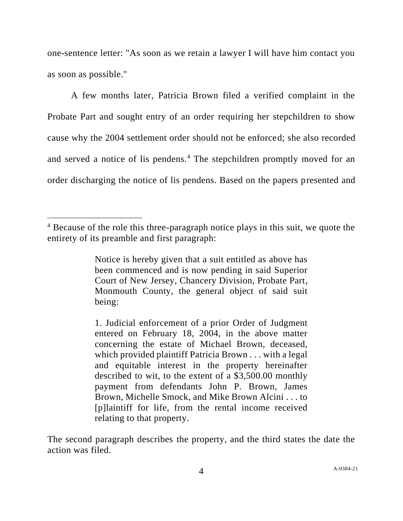one-sentence letter: "As soon as we retain a lawyer I will have him contact you as soon as possible."

A few months later, Patricia Brown filed a verified complaint in the Probate Part and sought entry of an order requiring her stepchildren to show cause why the 2004 settlement order should not be enforced; she also recorded and served a notice of lis pendens.<sup>4</sup> The stepchildren promptly moved for an order discharging the notice of lis pendens. Based on the papers presented and

Notice is hereby given that a suit entitled as above has been commenced and is now pending in said Superior Court of New Jersey, Chancery Division, Probate Part, Monmouth County, the general object of said suit being:

1. Judicial enforcement of a prior Order of Judgment entered on February 18, 2004, in the above matter concerning the estate of Michael Brown, deceased, which provided plaintiff Patricia Brown . . . with a legal and equitable interest in the property hereinafter described to wit, to the extent of a \$3,500.00 monthly payment from defendants John P. Brown, James Brown, Michelle Smock, and Mike Brown Alcini . . . to [p]laintiff for life, from the rental income received relating to that property.

The second paragraph describes the property, and the third states the date the action was filed.

<sup>4</sup> Because of the role this three-paragraph notice plays in this suit, we quote the entirety of its preamble and first paragraph: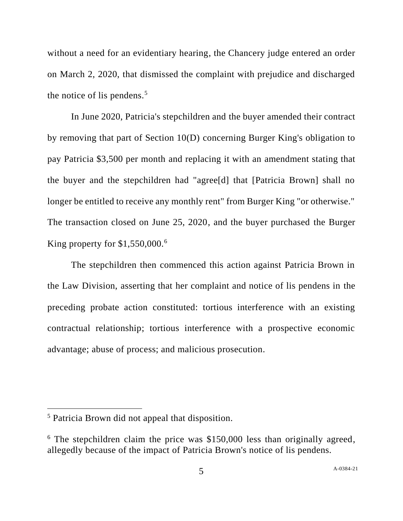without a need for an evidentiary hearing, the Chancery judge entered an order on March 2, 2020, that dismissed the complaint with prejudice and discharged the notice of lis pendens. $5$ 

In June 2020, Patricia's stepchildren and the buyer amended their contract by removing that part of Section 10(D) concerning Burger King's obligation to pay Patricia \$3,500 per month and replacing it with an amendment stating that the buyer and the stepchildren had "agree[d] that [Patricia Brown] shall no longer be entitled to receive any monthly rent" from Burger King "or otherwise." The transaction closed on June 25, 2020, and the buyer purchased the Burger King property for  $$1,550,000$ .<sup>6</sup>

The stepchildren then commenced this action against Patricia Brown in the Law Division, asserting that her complaint and notice of lis pendens in the preceding probate action constituted: tortious interference with an existing contractual relationship; tortious interference with a prospective economic advantage; abuse of process; and malicious prosecution.

<sup>5</sup> Patricia Brown did not appeal that disposition.

 $6$  The stepchildren claim the price was \$150,000 less than originally agreed, allegedly because of the impact of Patricia Brown's notice of lis pendens.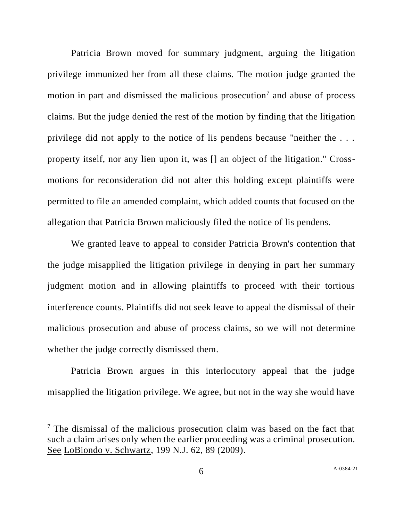Patricia Brown moved for summary judgment, arguing the litigation privilege immunized her from all these claims. The motion judge granted the motion in part and dismissed the malicious prosecution<sup>7</sup> and abuse of process claims. But the judge denied the rest of the motion by finding that the litigation privilege did not apply to the notice of lis pendens because "neither the . . . property itself, nor any lien upon it, was [] an object of the litigation." Crossmotions for reconsideration did not alter this holding except plaintiffs were permitted to file an amended complaint, which added counts that focused on the allegation that Patricia Brown maliciously filed the notice of lis pendens.

We granted leave to appeal to consider Patricia Brown's contention that the judge misapplied the litigation privilege in denying in part her summary judgment motion and in allowing plaintiffs to proceed with their tortious interference counts. Plaintiffs did not seek leave to appeal the dismissal of their malicious prosecution and abuse of process claims, so we will not determine whether the judge correctly dismissed them.

Patricia Brown argues in this interlocutory appeal that the judge misapplied the litigation privilege. We agree, but not in the way she would have

 $<sup>7</sup>$  The dismissal of the malicious prosecution claim was based on the fact that</sup> such a claim arises only when the earlier proceeding was a criminal prosecution. See LoBiondo v. Schwartz, 199 N.J. 62, 89 (2009).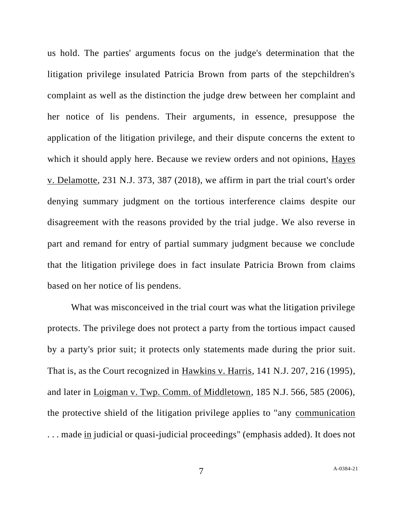us hold. The parties' arguments focus on the judge's determination that the litigation privilege insulated Patricia Brown from parts of the stepchildren's complaint as well as the distinction the judge drew between her complaint and her notice of lis pendens. Their arguments, in essence, presuppose the application of the litigation privilege, and their dispute concerns the extent to which it should apply here. Because we review orders and not opinions, Hayes v. Delamotte, 231 N.J. 373, 387 (2018), we affirm in part the trial court's order denying summary judgment on the tortious interference claims despite our disagreement with the reasons provided by the trial judge. We also reverse in part and remand for entry of partial summary judgment because we conclude that the litigation privilege does in fact insulate Patricia Brown from claims based on her notice of lis pendens.

What was misconceived in the trial court was what the litigation privilege protects. The privilege does not protect a party from the tortious impact caused by a party's prior suit; it protects only statements made during the prior suit. That is, as the Court recognized in Hawkins v. Harris, 141 N.J. 207, 216 (1995), and later in Loigman v. Twp. Comm. of Middletown, 185 N.J. 566, 585 (2006), the protective shield of the litigation privilege applies to "any communication . . . made in judicial or quasi-judicial proceedings" (emphasis added). It does not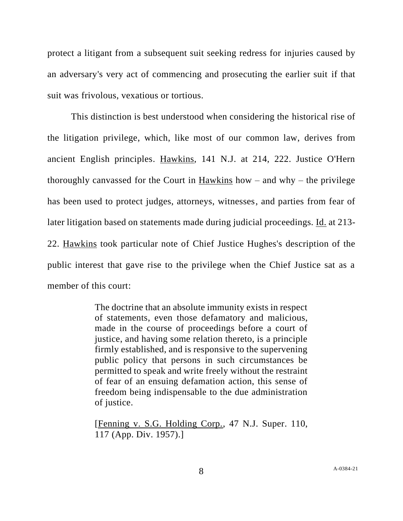protect a litigant from a subsequent suit seeking redress for injuries caused by an adversary's very act of commencing and prosecuting the earlier suit if that suit was frivolous, vexatious or tortious.

This distinction is best understood when considering the historical rise of the litigation privilege, which, like most of our common law, derives from ancient English principles. Hawkins, 141 N.J. at 214, 222. Justice O'Hern thoroughly canvassed for the Court in Hawkins how  $-$  and why  $-$  the privilege has been used to protect judges, attorneys, witnesses, and parties from fear of later litigation based on statements made during judicial proceedings. Id. at 213- 22. Hawkins took particular note of Chief Justice Hughes's description of the public interest that gave rise to the privilege when the Chief Justice sat as a member of this court:

> The doctrine that an absolute immunity exists in respect of statements, even those defamatory and malicious, made in the course of proceedings before a court of justice, and having some relation thereto, is a principle firmly established, and is responsive to the supervening public policy that persons in such circumstances be permitted to speak and write freely without the restraint of fear of an ensuing defamation action, this sense of freedom being indispensable to the due administration of justice.

> [Fenning v. S.G. Holding Corp., 47 N.J. Super. 110, 117 (App. Div. 1957).]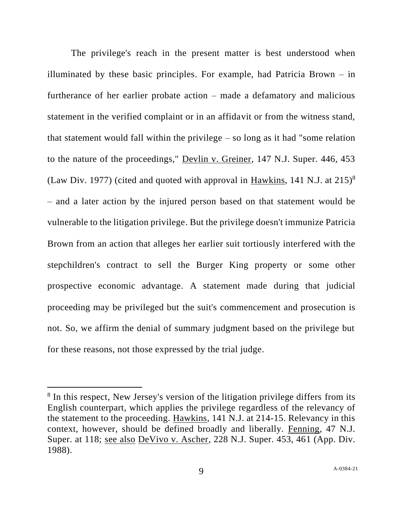The privilege's reach in the present matter is best understood when illuminated by these basic principles. For example, had Patricia Brown  $-$  in furtherance of her earlier probate action – made a defamatory and malicious statement in the verified complaint or in an affidavit or from the witness stand, that statement would fall within the privilege  $-$  so long as it had "some relation" to the nature of the proceedings," Devlin v. Greiner, 147 N.J. Super. 446, 453 (Law Div. 1977) (cited and quoted with approval in  $\frac{\text{Hawkins}}{\text{Hawkins}}$ , 141 N.J. at 215)<sup>8</sup> – and a later action by the injured person based on that statement would be vulnerable to the litigation privilege. But the privilege doesn't immunize Patricia Brown from an action that alleges her earlier suit tortiously interfered with the stepchildren's contract to sell the Burger King property or some other prospective economic advantage. A statement made during that judicial proceeding may be privileged but the suit's commencement and prosecution is not. So, we affirm the denial of summary judgment based on the privilege but for these reasons, not those expressed by the trial judge.

<sup>&</sup>lt;sup>8</sup> In this respect, New Jersey's version of the litigation privilege differs from its English counterpart, which applies the privilege regardless of the relevancy of the statement to the proceeding. Hawkins, 141 N.J. at 214-15. Relevancy in this context, however, should be defined broadly and liberally. Fenning, 47 N.J. Super. at 118; see also DeVivo v. Ascher, 228 N.J. Super. 453, 461 (App. Div. 1988).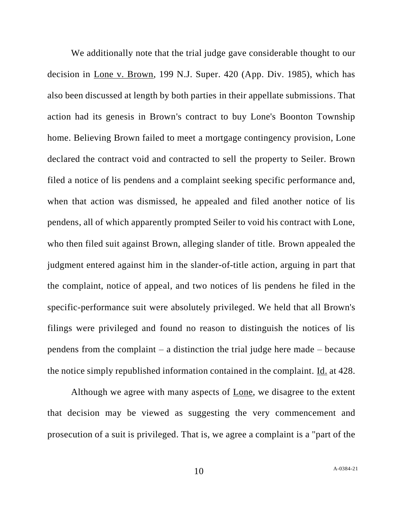We additionally note that the trial judge gave considerable thought to our decision in Lone v. Brown, 199 N.J. Super. 420 (App. Div. 1985), which has also been discussed at length by both parties in their appellate submissions. That action had its genesis in Brown's contract to buy Lone's Boonton Township home. Believing Brown failed to meet a mortgage contingency provision, Lone declared the contract void and contracted to sell the property to Seiler. Brown filed a notice of lis pendens and a complaint seeking specific performance and, when that action was dismissed, he appealed and filed another notice of lis pendens, all of which apparently prompted Seiler to void his contract with Lone, who then filed suit against Brown, alleging slander of title. Brown appealed the judgment entered against him in the slander-of-title action, arguing in part that the complaint, notice of appeal, and two notices of lis pendens he filed in the specific-performance suit were absolutely privileged. We held that all Brown's filings were privileged and found no reason to distinguish the notices of lis pendens from the complaint – a distinction the trial judge here made – because the notice simply republished information contained in the complaint. Id. at 428.

Although we agree with many aspects of Lone, we disagree to the extent that decision may be viewed as suggesting the very commencement and prosecution of a suit is privileged. That is, we agree a complaint is a "part of the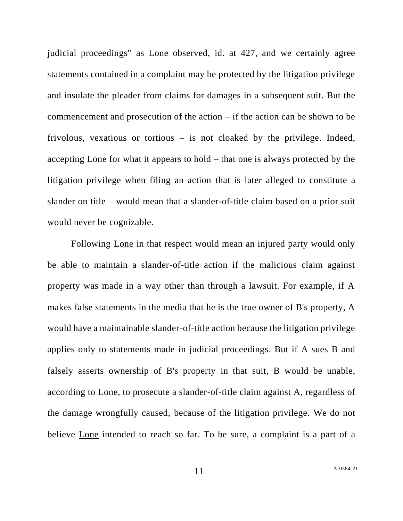judicial proceedings" as Lone observed, id. at 427, and we certainly agree statements contained in a complaint may be protected by the litigation privilege and insulate the pleader from claims for damages in a subsequent suit. But the commencement and prosecution of the action – if the action can be shown to be frivolous, vexatious or tortious – is not cloaked by the privilege. Indeed, accepting Lone for what it appears to hold – that one is always protected by the litigation privilege when filing an action that is later alleged to constitute a slander on title – would mean that a slander-of-title claim based on a prior suit would never be cognizable.

Following Lone in that respect would mean an injured party would only be able to maintain a slander-of-title action if the malicious claim against property was made in a way other than through a lawsuit. For example, if A makes false statements in the media that he is the true owner of B's property, A would have a maintainable slander-of-title action because the litigation privilege applies only to statements made in judicial proceedings. But if A sues B and falsely asserts ownership of B's property in that suit, B would be unable, according to Lone, to prosecute a slander-of-title claim against A, regardless of the damage wrongfully caused, because of the litigation privilege. We do not believe Lone intended to reach so far. To be sure, a complaint is a part of a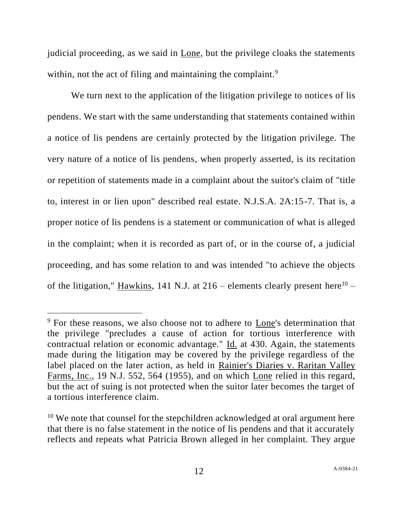judicial proceeding, as we said in Lone, but the privilege cloaks the statements within, not the act of filing and maintaining the complaint.<sup>9</sup>

We turn next to the application of the litigation privilege to notices of lis pendens. We start with the same understanding that statements contained within a notice of lis pendens are certainly protected by the litigation privilege. The very nature of a notice of lis pendens, when properly asserted, is its recitation or repetition of statements made in a complaint about the suitor's claim of "title to, interest in or lien upon" described real estate. N.J.S.A. 2A:15-7. That is, a proper notice of lis pendens is a statement or communication of what is alleged in the complaint; when it is recorded as part of, or in the course of, a judicial proceeding, and has some relation to and was intended "to achieve the objects of the litigation," Hawkins, 141 N.J. at  $216$  – elements clearly present here<sup>10</sup> –

<sup>&</sup>lt;sup>9</sup> For these reasons, we also choose not to adhere to Lone's determination that the privilege "precludes a cause of action for tortious interference with contractual relation or economic advantage." Id. at 430. Again, the statements made during the litigation may be covered by the privilege regardless of the label placed on the later action, as held in Rainier's Diaries v. Raritan Valley Farms, Inc., 19 N.J. 552, 564 (1955), and on which Lone relied in this regard, but the act of suing is not protected when the suitor later becomes the target of a tortious interference claim.

 $10$  We note that counsel for the stepchildren acknowledged at oral argument here that there is no false statement in the notice of lis pendens and that it accurately reflects and repeats what Patricia Brown alleged in her complaint. They argue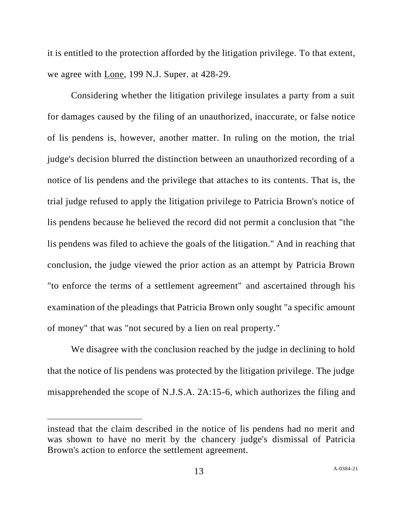it is entitled to the protection afforded by the litigation privilege. To that extent, we agree with Lone, 199 N.J. Super. at 428-29.

Considering whether the litigation privilege insulates a party from a suit for damages caused by the filing of an unauthorized, inaccurate, or false notice of lis pendens is, however, another matter. In ruling on the motion, the trial judge's decision blurred the distinction between an unauthorized recording of a notice of lis pendens and the privilege that attaches to its contents. That is, the trial judge refused to apply the litigation privilege to Patricia Brown's notice of lis pendens because he believed the record did not permit a conclusion that "the lis pendens was filed to achieve the goals of the litigation." And in reaching that conclusion, the judge viewed the prior action as an attempt by Patricia Brown "to enforce the terms of a settlement agreement" and ascertained through his examination of the pleadings that Patricia Brown only sought "a specific amount of money" that was "not secured by a lien on real property."

We disagree with the conclusion reached by the judge in declining to hold that the notice of lis pendens was protected by the litigation privilege. The judge misapprehended the scope of N.J.S.A. 2A:15-6, which authorizes the filing and

instead that the claim described in the notice of lis pendens had no merit and was shown to have no merit by the chancery judge's dismissal of Patricia Brown's action to enforce the settlement agreement.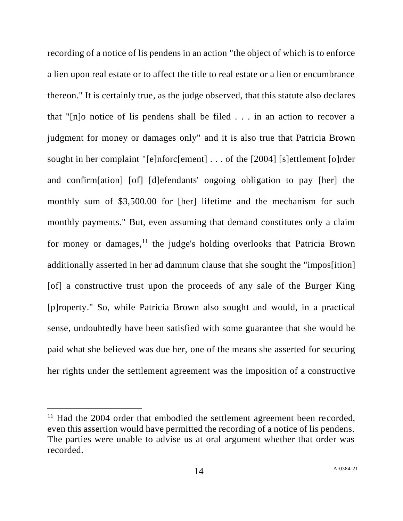recording of a notice of lis pendens in an action "the object of which is to enforce a lien upon real estate or to affect the title to real estate or a lien or encumbrance thereon." It is certainly true, as the judge observed, that this statute also declares that "[n]o notice of lis pendens shall be filed . . . in an action to recover a judgment for money or damages only" and it is also true that Patricia Brown sought in her complaint "[e]nforc[ement] . . . of the [2004] [s]ettlement [o]rder and confirm[ation] [of] [d]efendants' ongoing obligation to pay [her] the monthly sum of \$3,500.00 for [her] lifetime and the mechanism for such monthly payments." But, even assuming that demand constitutes only a claim for money or damages, $<sup>11</sup>$  the judge's holding overlooks that Patricia Brown</sup> additionally asserted in her ad damnum clause that she sought the "impos[ition] [of] a constructive trust upon the proceeds of any sale of the Burger King [p]roperty." So, while Patricia Brown also sought and would, in a practical sense, undoubtedly have been satisfied with some guarantee that she would be paid what she believed was due her, one of the means she asserted for securing her rights under the settlement agreement was the imposition of a constructive

 $11$  Had the 2004 order that embodied the settlement agreement been recorded, even this assertion would have permitted the recording of a notice of lis pendens. The parties were unable to advise us at oral argument whether that order was recorded.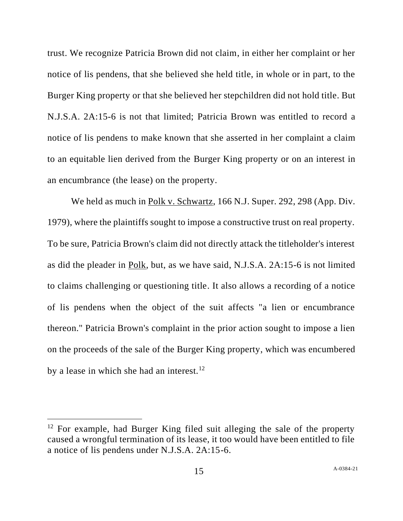trust. We recognize Patricia Brown did not claim, in either her complaint or her notice of lis pendens, that she believed she held title, in whole or in part, to the Burger King property or that she believed her stepchildren did not hold title. But N.J.S.A. 2A:15-6 is not that limited; Patricia Brown was entitled to record a notice of lis pendens to make known that she asserted in her complaint a claim to an equitable lien derived from the Burger King property or on an interest in an encumbrance (the lease) on the property.

We held as much in Polk v. Schwartz, 166 N.J. Super. 292, 298 (App. Div. 1979), where the plaintiffs sought to impose a constructive trust on real property. To be sure, Patricia Brown's claim did not directly attack the titleholder's interest as did the pleader in Polk, but, as we have said, N.J.S.A. 2A:15-6 is not limited to claims challenging or questioning title. It also allows a recording of a notice of lis pendens when the object of the suit affects "a lien or encumbrance thereon." Patricia Brown's complaint in the prior action sought to impose a lien on the proceeds of the sale of the Burger King property, which was encumbered by a lease in which she had an interest.<sup>12</sup>

 $12$  For example, had Burger King filed suit alleging the sale of the property caused a wrongful termination of its lease, it too would have been entitled to file a notice of lis pendens under N.J.S.A. 2A:15-6.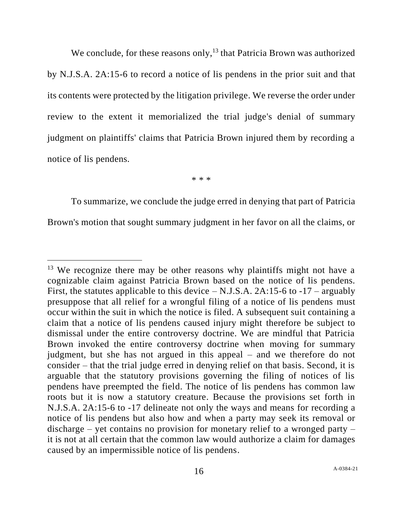We conclude, for these reasons only,  $^{13}$  that Patricia Brown was authorized by N.J.S.A. 2A:15-6 to record a notice of lis pendens in the prior suit and that its contents were protected by the litigation privilege. We reverse the order under review to the extent it memorialized the trial judge's denial of summary judgment on plaintiffs' claims that Patricia Brown injured them by recording a notice of lis pendens.

\* \* \*

To summarize, we conclude the judge erred in denying that part of Patricia Brown's motion that sought summary judgment in her favor on all the claims, or

 $13$  We recognize there may be other reasons why plaintiffs might not have a cognizable claim against Patricia Brown based on the notice of lis pendens. First, the statutes applicable to this device  $-$  N.J.S.A. 2A:15-6 to -17 – arguably presuppose that all relief for a wrongful filing of a notice of lis pendens must occur within the suit in which the notice is filed. A subsequent suit containing a claim that a notice of lis pendens caused injury might therefore be subject to dismissal under the entire controversy doctrine. We are mindful that Patricia Brown invoked the entire controversy doctrine when moving for summary judgment, but she has not argued in this appeal – and we therefore do not consider – that the trial judge erred in denying relief on that basis. Second, it is arguable that the statutory provisions governing the filing of notices of lis pendens have preempted the field. The notice of lis pendens has common law roots but it is now a statutory creature. Because the provisions set forth in N.J.S.A. 2A:15-6 to -17 delineate not only the ways and means for recording a notice of lis pendens but also how and when a party may seek its removal or discharge – yet contains no provision for monetary relief to a wronged party – it is not at all certain that the common law would authorize a claim for damages caused by an impermissible notice of lis pendens.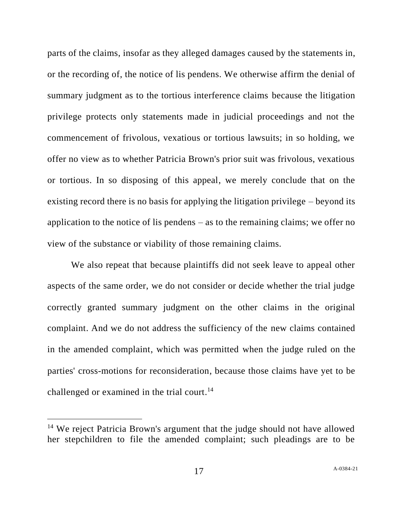parts of the claims, insofar as they alleged damages caused by the statements in, or the recording of, the notice of lis pendens. We otherwise affirm the denial of summary judgment as to the tortious interference claims because the litigation privilege protects only statements made in judicial proceedings and not the commencement of frivolous, vexatious or tortious lawsuits; in so holding, we offer no view as to whether Patricia Brown's prior suit was frivolous, vexatious or tortious. In so disposing of this appeal, we merely conclude that on the existing record there is no basis for applying the litigation privilege – beyond its application to the notice of lis pendens – as to the remaining claims; we offer no view of the substance or viability of those remaining claims.

We also repeat that because plaintiffs did not seek leave to appeal other aspects of the same order, we do not consider or decide whether the trial judge correctly granted summary judgment on the other claims in the original complaint. And we do not address the sufficiency of the new claims contained in the amended complaint, which was permitted when the judge ruled on the parties' cross-motions for reconsideration, because those claims have yet to be challenged or examined in the trial court.<sup>14</sup>

<sup>&</sup>lt;sup>14</sup> We reject Patricia Brown's argument that the judge should not have allowed her stepchildren to file the amended complaint; such pleadings are to be